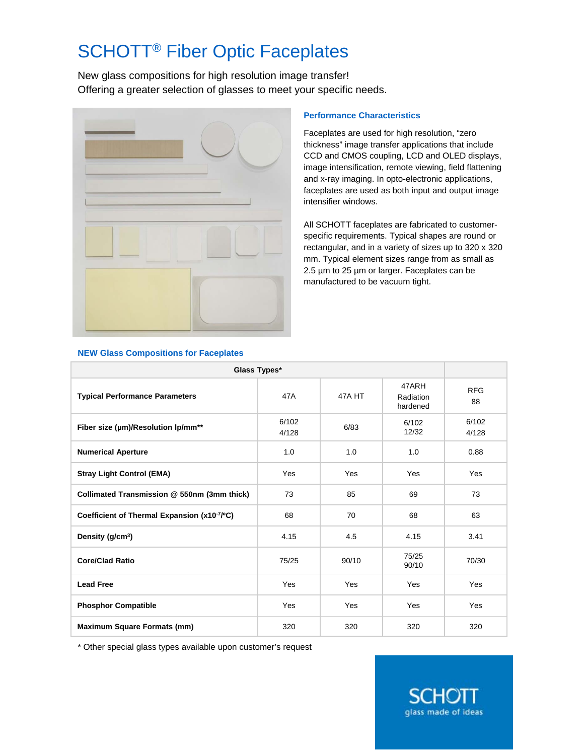## SCHOTT® Fiber Optic Faceplates

New glass compositions for high resolution image transfer! Offering a greater selection of glasses to meet your specific needs.



## **Performance Characteristics**

Faceplates are used for high resolution, "zero thickness" image transfer applications that include CCD and CMOS coupling, LCD and OLED displays, image intensification, remote viewing, field flattening and x-ray imaging. In opto-electronic applications, faceplates are used as both input and output image intensifier windows.

All SCHOTT faceplates are fabricated to customerspecific requirements. Typical shapes are round or rectangular, and in a variety of sizes up to 320 x 320 mm. Typical element sizes range from as small as 2.5 µm to 25 µm or larger. Faceplates can be manufactured to be vacuum tight.

> .HOT glass made of ideas

| Glass Types*                                   |                |        |                                |                  |  |  |  |
|------------------------------------------------|----------------|--------|--------------------------------|------------------|--|--|--|
| <b>Typical Performance Parameters</b>          | 47A            | 47A HT | 47ARH<br>Radiation<br>hardened | <b>RFG</b><br>88 |  |  |  |
| Fiber size (µm)/Resolution lp/mm <sup>**</sup> | 6/102<br>4/128 | 6/83   | 6/102<br>12/32                 | 6/102<br>4/128   |  |  |  |
| <b>Numerical Aperture</b>                      | 1.0            | 1.0    | 1.0                            | 0.88             |  |  |  |
| <b>Stray Light Control (EMA)</b>               | Yes            | Yes    | Yes                            | Yes              |  |  |  |
| Collimated Transmission @ 550nm (3mm thick)    | 73             | 85     | 69                             | 73               |  |  |  |
| Coefficient of Thermal Expansion (x10-7/°C)    | 68             | 70     | 68                             | 63               |  |  |  |
| Density (g/cm <sup>3</sup> )                   | 4.15           | 4.5    | 4.15                           | 3.41             |  |  |  |
| <b>Core/Clad Ratio</b>                         | 75/25          | 90/10  | 75/25<br>90/10                 | 70/30            |  |  |  |
| <b>Lead Free</b>                               | Yes            | Yes    | Yes                            | Yes              |  |  |  |
| <b>Phosphor Compatible</b>                     | Yes            | Yes    | Yes                            | Yes              |  |  |  |
| <b>Maximum Square Formats (mm)</b>             | 320            | 320    | 320                            | 320              |  |  |  |

## **NEW Glass Compositions for Faceplates**

\* Other special glass types available upon customer's request